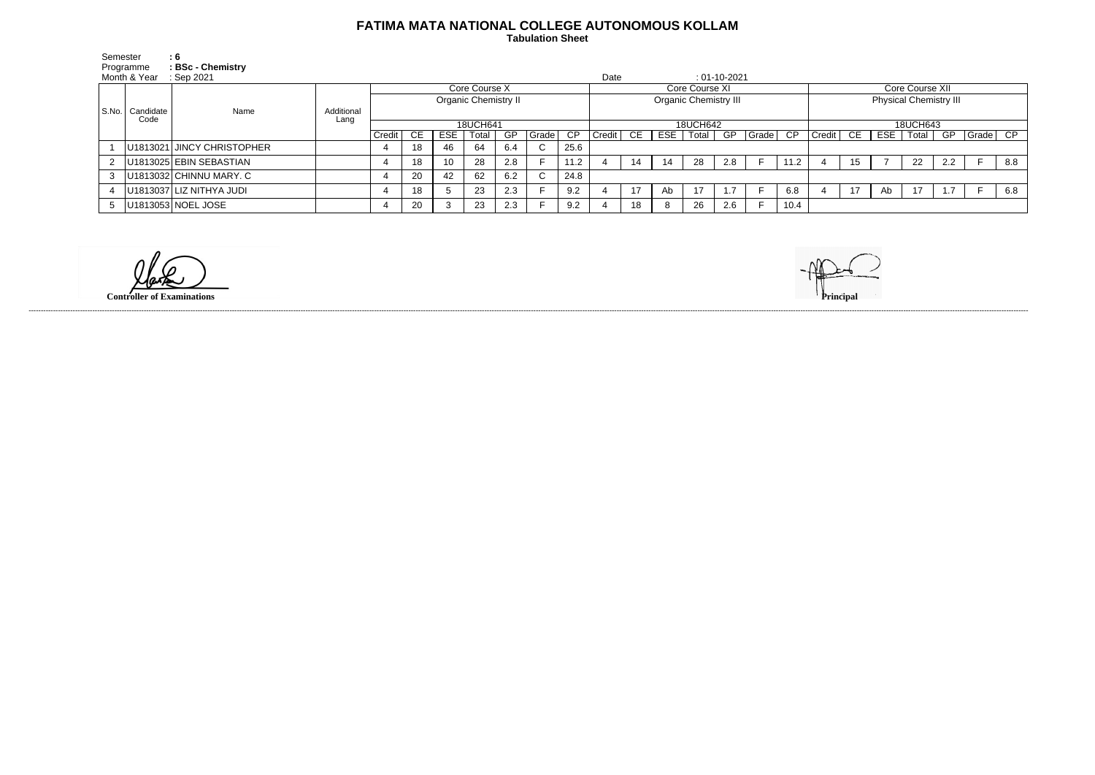## **FATIMA MATA NATIONAL COLLEGE AUTONOMOUS KOLLAM**

 **Tabulation Sheet** 

| Semester<br>Programme |                         | : 6<br>: BSc - Chemistry                        |                    |                             |           |      |       |     |       |          |                              |    |     |         |                |          |          |                               |    |     |       |     |          |     |
|-----------------------|-------------------------|-------------------------------------------------|--------------------|-----------------------------|-----------|------|-------|-----|-------|----------|------------------------------|----|-----|---------|----------------|----------|----------|-------------------------------|----|-----|-------|-----|----------|-----|
|                       | Month & Year            | Date<br>$: 01-10-2021$<br>$\therefore$ Sep 2021 |                    |                             |           |      |       |     |       |          |                              |    |     |         |                |          |          |                               |    |     |       |     |          |     |
|                       | S.No. Candidate<br>Code | Name                                            |                    | Core Course X               |           |      |       |     |       |          | Core Course XI               |    |     |         |                |          |          | Core Course XII               |    |     |       |     |          |     |
|                       |                         |                                                 |                    | <b>Organic Chemistry II</b> |           |      |       |     |       |          | <b>Organic Chemistry III</b> |    |     |         |                |          |          | <b>Physical Chemistry III</b> |    |     |       |     |          |     |
|                       |                         |                                                 | Additional<br>Lang |                             |           |      |       |     |       |          |                              |    |     |         |                |          |          |                               |    |     |       |     |          |     |
|                       |                         |                                                 |                    | 18UCH641                    |           |      |       |     |       | 18UCH642 |                              |    |     |         |                |          | 18UCH643 |                               |    |     |       |     |          |     |
|                       |                         |                                                 |                    | Credit                      | <b>CE</b> | ESE. | Total | GP  | Grade | CP       | Credit                       | CE | ESE | Total I | GP             | ∣Grade I | CP       | Credit                        | CE | ESE | Total | GP  | Grade CP |     |
|                       |                         | U1813021 JINCY CHRISTOPHER                      |                    |                             | 18        | 46   | 64    | 6.4 |       | 25.6     |                              |    |     |         |                |          |          |                               |    |     |       |     |          |     |
|                       |                         | U1813025 EBIN SEBASTIAN                         |                    |                             | 18        | 10   | 28    | 2.8 |       | 11.2     |                              | 14 | 14  | 28      | 2.8            |          | 11.2     |                               | 15 |     | 22    | 2.2 |          | 8.8 |
|                       |                         | $ U1813032 $ CHINNU MARY. C                     |                    |                             | 20        | 42   | 62    | 6.2 |       | 24.8     |                              |    |     |         |                |          |          |                               |    |     |       |     |          |     |
|                       |                         | U1813037 LIZ NITHYA JUDI                        |                    |                             | 18        |      | 23    | 2.3 |       | 9.2      |                              | 17 | Ab. | 17      | $\overline{ }$ |          | 6.8      |                               | 17 | Ab  | 17    |     |          | 6.8 |
|                       |                         | U1813053 NOEL JOSE                              |                    |                             | 20        |      | 23    | 2.3 |       | 9.2      |                              | 18 |     | 26      | 2.6            |          | 10.4     |                               |    |     |       |     |          |     |

**Controller of Examinations Principal**



------------------------------------------------------------------------------------------------------------------------------------------------------------------------------------------------------------------------------------------------------------------------------------------------------------------------------------------------------------------------------------------------------------------------